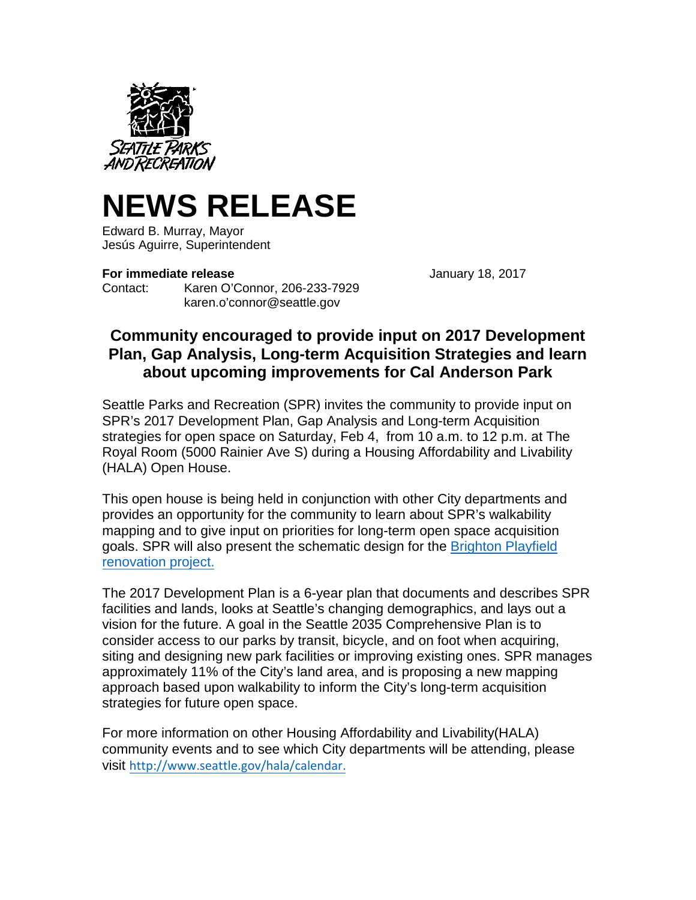

## **NEWS RELEASE**

Edward B. Murray, Mayor Jesús Aguirre, Superintendent

## **For immediate release January 18, 2017**

Contact: Karen O'Connor, 206-233-7929 karen.o'connor@seattle.gov

## **Community encouraged to provide input on 2017 Development Plan, Gap Analysis, Long-term Acquisition Strategies and learn about upcoming improvements for Cal Anderson Park**

Seattle Parks and Recreation (SPR) invites the community to provide input on SPR's 2017 Development Plan, Gap Analysis and Long-term Acquisition strategies for open space on Saturday, Feb 4, from 10 a.m. to 12 p.m. at The Royal Room (5000 Rainier Ave S) during a Housing Affordability and Livability (HALA) Open House.

This open house is being held in conjunction with other City departments and provides an opportunity for the community to learn about SPR's walkability mapping and to give input on priorities for long-term open space acquisition goals. SPR will also present the schematic design for the [Brighton Playfield](http://www.seattle.gov/parks/about-us/current-projects/brighton-playfield-renovation)  [renovation project.](http://www.seattle.gov/parks/about-us/current-projects/brighton-playfield-renovation)

The 2017 Development Plan is a 6-year plan that documents and describes SPR facilities and lands, looks at Seattle's changing demographics, and lays out a vision for the future. A goal in the Seattle 2035 Comprehensive Plan is to consider access to our parks by transit, bicycle, and on foot when acquiring, siting and designing new park facilities or improving existing ones. SPR manages approximately 11% of the City's land area, and is proposing a new mapping approach based upon walkability to inform the City's long-term acquisition strategies for future open space.

For more information on other Housing Affordability and Livability(HALA) community events and to see which City departments will be attending, please visit [http://www.seattle.gov/hala/calendar.](http://www.seattle.gov/hala/calendar)